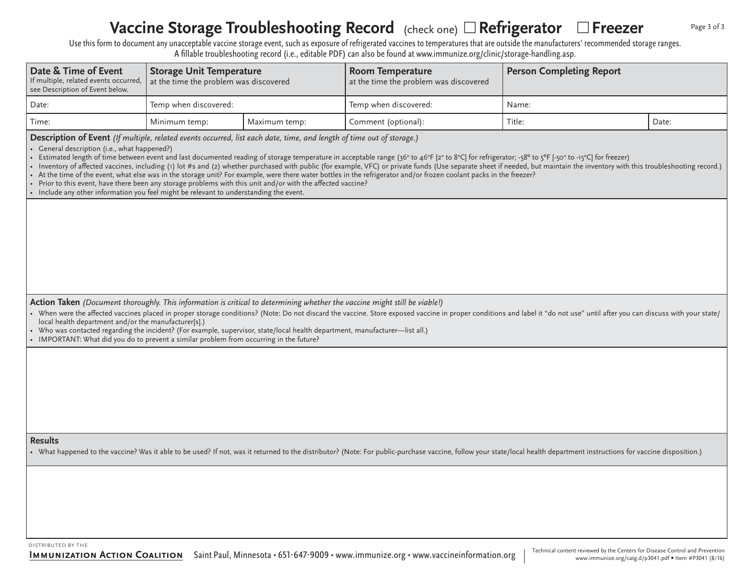#### **Vaccine Storage Troubleshooting Record** (check one) □ Refrigerator □ Freezer Page 3 of 3

Use this form to document any unacceptable vaccine storage event, such as exposure of refrigerated vaccines to temperatures that are outside the manufacturers' recommended storage ranges. A fillable troubleshooting record (i.e., editable PDF) can also be found at www.immunize.org/clinic/storage-handling.asp.

| Date & Time of Event<br>If multiple, related events occurred,<br>see Description of Event below.                                                                                                                                                                                                                                                                                                                                                                                                                                                                                                                                                                                                                                                                                                                                                                                                                                                                                                | <b>Storage Unit Temperature</b><br>at the time the problem was discovered |               | <b>Room Temperature</b><br>at the time the problem was discovered | <b>Person Completing Report</b> |       |  |  |
|-------------------------------------------------------------------------------------------------------------------------------------------------------------------------------------------------------------------------------------------------------------------------------------------------------------------------------------------------------------------------------------------------------------------------------------------------------------------------------------------------------------------------------------------------------------------------------------------------------------------------------------------------------------------------------------------------------------------------------------------------------------------------------------------------------------------------------------------------------------------------------------------------------------------------------------------------------------------------------------------------|---------------------------------------------------------------------------|---------------|-------------------------------------------------------------------|---------------------------------|-------|--|--|
| Date:                                                                                                                                                                                                                                                                                                                                                                                                                                                                                                                                                                                                                                                                                                                                                                                                                                                                                                                                                                                           | Temp when discovered:                                                     |               | Temp when discovered:                                             | Name:                           |       |  |  |
| Time:                                                                                                                                                                                                                                                                                                                                                                                                                                                                                                                                                                                                                                                                                                                                                                                                                                                                                                                                                                                           | Minimum temp:                                                             | Maximum temp: | Comment (optional):                                               | Title:                          | Date: |  |  |
| Description of Event (If multiple, related events occurred, list each date, time, and length of time out of storage.)<br>• General description (i.e., what happened?)<br>• Estimated length of time between event and last documented reading of storage temperature in acceptable range (36° to 46°F [2° to 8°C] for refrigerator; -58° to 5°F [-50° to -15°C] for freezer)<br>• Inventory of affected vaccines, including (1) lot #s and (2) whether purchased with public (for example, VFC) or private funds (Use separate sheet if needed, but maintain the inventory with this troubleshooting record.)<br>• At the time of the event, what else was in the storage unit? For example, were there water bottles in the refrigerator and/or frozen coolant packs in the freezer?<br>• Prior to this event, have there been any storage problems with this unit and/or with the affected vaccine?<br>• Include any other information you feel might be relevant to understanding the event. |                                                                           |               |                                                                   |                                 |       |  |  |
|                                                                                                                                                                                                                                                                                                                                                                                                                                                                                                                                                                                                                                                                                                                                                                                                                                                                                                                                                                                                 |                                                                           |               |                                                                   |                                 |       |  |  |
| Action Taken (Document thoroughly. This information is critical to determining whether the vaccine might still be viable!)<br>• When were the affected vaccines placed in proper storage conditions? (Note: Do not discard the vaccine. Store exposed vaccine in proper conditions and label it "do not use" until after you can discuss with your state/<br>local health department and/or the manufacturer[s].)<br>• Who was contacted regarding the incident? (For example, supervisor, state/local health department, manufacturer—list all.)<br>• IMPORTANT: What did you do to prevent a similar problem from occurring in the future?                                                                                                                                                                                                                                                                                                                                                    |                                                                           |               |                                                                   |                                 |       |  |  |
|                                                                                                                                                                                                                                                                                                                                                                                                                                                                                                                                                                                                                                                                                                                                                                                                                                                                                                                                                                                                 |                                                                           |               |                                                                   |                                 |       |  |  |
| <b>Results</b><br>• What happened to the vaccine? Was it able to be used? If not, was it returned to the distributor? (Note: For public-purchase vaccine, follow your state/local health department instructions for vaccine disposition.)                                                                                                                                                                                                                                                                                                                                                                                                                                                                                                                                                                                                                                                                                                                                                      |                                                                           |               |                                                                   |                                 |       |  |  |
|                                                                                                                                                                                                                                                                                                                                                                                                                                                                                                                                                                                                                                                                                                                                                                                                                                                                                                                                                                                                 |                                                                           |               |                                                                   |                                 |       |  |  |

distributed by the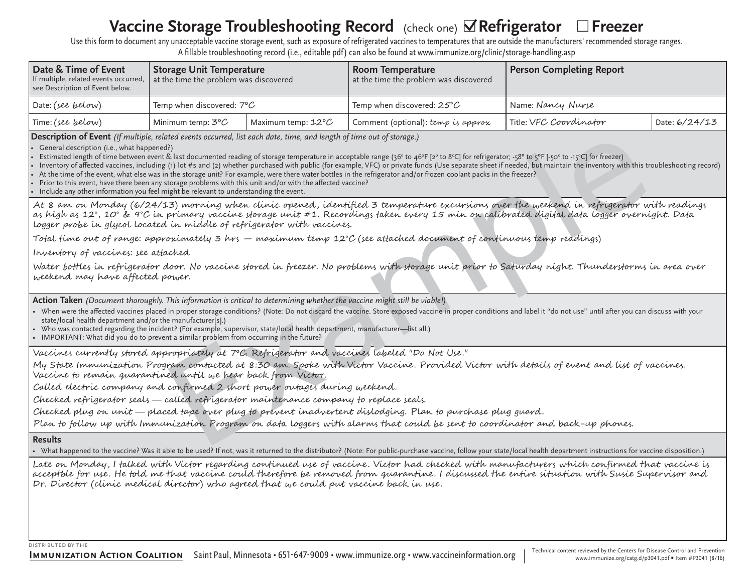# **Vaccine Storage Troubleshooting Record** (check one) **○Refrigerator** □Freezer

Use this form to document any unacceptable vaccine storage event, such as exposure of refrigerated vaccines to temperatures that are outside the manufacturers' recommended storage ranges. A fillable troubleshooting record (i.e., editable pdf) can also be found at www.immunize.org/clinic/storage-handling.asp

| Date & Time of Event<br>If multiple, related events occurred,<br>see Description of Event below. | Storage Unit Temperature<br>at the time the problem was discovered |                              | Room Temperature<br>$\mid$ at the time the problem was discovered | <b>Person Completing Report</b> |               |
|--------------------------------------------------------------------------------------------------|--------------------------------------------------------------------|------------------------------|-------------------------------------------------------------------|---------------------------------|---------------|
| Date: (see below)                                                                                | Temp when discovered: $7^{\circ} \mathcal{C}$                      |                              | Temp when discovered: 25° $\cal C$                                | Name: Nancy Nurse               |               |
| Time: (see below)                                                                                | Minimum temp: 3° $\cal C$                                          | Maximum temp: $12^{\circ}$ C | Comment (optional): temp is approx                                | Title: VFC Coordinator          | Date: 6/24/13 |

**Description of Event** (If multiple, related events occurred, list each date, time, and length of time out of storage.)

ûGeneral description (i.e., what happened?)

ûEstimated length of time between event & last documented reading of storage temperature in acceptable range (36° to 46°F [2° to 8°C] for refrigerator; -58° to 5°F [-50° to -15°C] for freezer)

ûInventory of affected vaccines, including (1) lot #s and (2) whether purchased with public (for example, VFC) or private funds (Use separate sheet if needed, but maintain the inventory with this troubleshooting record)

ûAt the time of the event, what else was in the storage unit? For example, were there water bottles in the refrigerator and/or frozen coolant packs in the freezer?

ûPrior to this event, have there been any storage problems with this unit and/or with the affected vaccine?

ûInclude any other information you feel might be relevant to understanding the event.

interations accurates. Its each and R. Hims, and negative three interactions and is sent to convention of the scale of the scale of the scale of the scale of the scale of the scale of the scale of the scale of the scale of At 8 am on Monday (6/24/13) morning when clinic opened, identified 3 temperature excursions over the weekend in refrigerator with readings as high as 12°, 10° & 9°C in primary vaccine storage unit #1. Recordings taken every 15 min on calibrated digital data logger overnight. Data logger probe in glycol located in middle of refrigerator with vaccines.

Total time out of range: approximately 3 hrs – maximum temp 12°C (see attached document of continuous temp readings)

Inventory of vaccines: see attached

Water bottles in refrigerator door. No vaccine stored in freezer. No problems with storage unit prior to Saturday night. Thunderstorms in area over weekend may have affected power.

**Action Taken** (Document thoroughly. This information is critical to determining whether the vaccine might still be viable!)

- When were the affected vaccines placed in proper storage conditions? (Note: Do not discard the vaccine. Store exposed vaccine in proper conditions and label it "do not use" until after you can discuss with your state/local health department and/or the manufacturer[s].)
- û Who was contacted regarding the incident? (For example, supervisor, state/local health department, manufacturer—list all.)
- IMPORTANT: What did you do to prevent a similar problem from occurring in the future?

Vaccines currently stored appropriately at 7°C. Refrigerator and vaccines labeled "Do Not Use."

My State Immunization Program contacted at 8:30 am. Spoke with Victor Vaccine. Provided Victor with details of event and list of vaccines. Vaccine to remain guarantined until we hear back from Victor.

Called electric company and confirmed 2 short power outages during weekend.

Checked refrigerator seals — called refrigerator maintenance company to replace seals.

Checked plug on unit — placed tape over plug to prevent inadvertent dislodging. Plan to purchase plug guard.

Plan to follow up with Immunization Program on data loggers with alarms that could be sent to coordinator and back-up phones.

## **Results**

• What happened to the vaccine? Was it able to be used? If not, was it returned to the distributor? (Note: For public-purchase vaccine, follow your state/local health department instructions for vaccine disposition.)

Late on Monday, I falked with Victor regarding continued use of vaccine. Victor had checked with manufacturers which confirmed that vaccine is acceptble for use. He fold me that vaccine could therefore be removed from auarantine. I discussed the entire situation with Susie Supervisor and Dr. Director (clinic medical director) who agreed that we could put vaccine back in use.